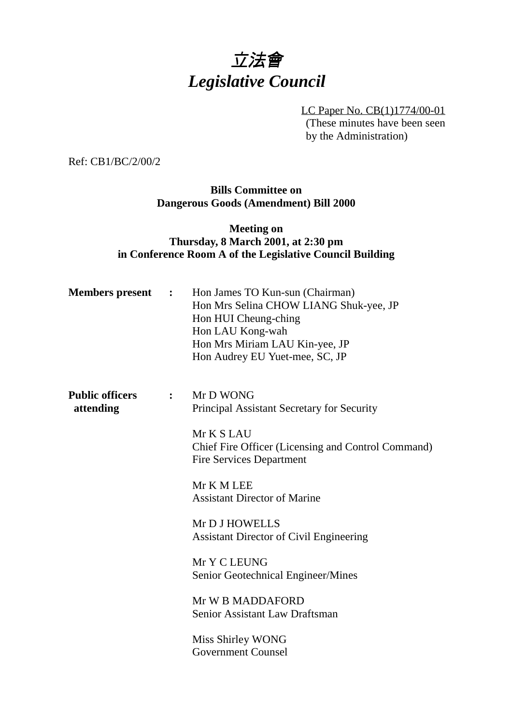# 立法會 *Legislative Council*

LC Paper No. CB(1)1774/00-01 (These minutes have been seen by the Administration)

Ref: CB1/BC/2/00/2

**Bills Committee on Dangerous Goods (Amendment) Bill 2000**

# **Meeting on Thursday, 8 March 2001, at 2:30 pm in Conference Room A of the Legislative Council Building**

| <b>Members present :</b>            |              | Hon James TO Kun-sun (Chairman)<br>Hon Mrs Selina CHOW LIANG Shuk-yee, JP<br>Hon HUI Cheung-ching<br>Hon LAU Kong-wah<br>Hon Mrs Miriam LAU Kin-yee, JP<br>Hon Audrey EU Yuet-mee, SC, JP |
|-------------------------------------|--------------|-------------------------------------------------------------------------------------------------------------------------------------------------------------------------------------------|
| <b>Public officers</b><br>attending | $\mathbf{L}$ | Mr D WONG<br>Principal Assistant Secretary for Security<br>Mr K S LAU                                                                                                                     |
|                                     |              | Chief Fire Officer (Licensing and Control Command)<br><b>Fire Services Department</b>                                                                                                     |
|                                     |              | Mr K M LEE<br><b>Assistant Director of Marine</b>                                                                                                                                         |
|                                     |              | Mr D J HOWELLS<br><b>Assistant Director of Civil Engineering</b>                                                                                                                          |
|                                     |              | Mr Y C LEUNG<br>Senior Geotechnical Engineer/Mines                                                                                                                                        |
|                                     |              | Mr W B MADDAFORD<br>Senior Assistant Law Draftsman                                                                                                                                        |
|                                     |              | Miss Shirley WONG<br><b>Government Counsel</b>                                                                                                                                            |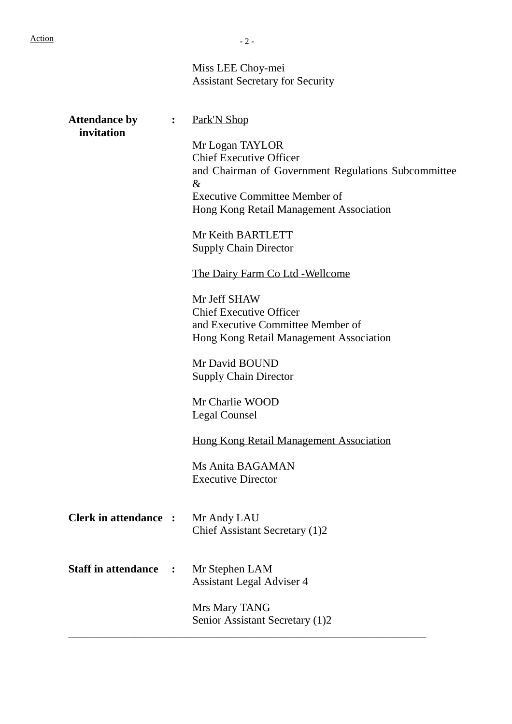|                                    |                  | Miss LEE Choy-mei<br><b>Assistant Secretary for Security</b>                                                                                                                                        |
|------------------------------------|------------------|-----------------------------------------------------------------------------------------------------------------------------------------------------------------------------------------------------|
| <b>Attendance by</b><br>invitation | $\ddot{\bullet}$ | Park'N Shop                                                                                                                                                                                         |
|                                    |                  | Mr Logan TAYLOR<br><b>Chief Executive Officer</b><br>and Chairman of Government Regulations Subcommittee<br>$\&$<br><b>Executive Committee Member of</b><br>Hong Kong Retail Management Association |
|                                    |                  | Mr Keith BARTLETT<br><b>Supply Chain Director</b>                                                                                                                                                   |
|                                    |                  | The Dairy Farm Co Ltd - Wellcome                                                                                                                                                                    |
|                                    |                  | Mr Jeff SHAW<br><b>Chief Executive Officer</b><br>and Executive Committee Member of<br>Hong Kong Retail Management Association                                                                      |
|                                    |                  | Mr David BOUND<br><b>Supply Chain Director</b>                                                                                                                                                      |
|                                    |                  | Mr Charlie WOOD<br>Legal Counsel                                                                                                                                                                    |
|                                    |                  | <b>Hong Kong Retail Management Association</b>                                                                                                                                                      |
|                                    |                  | Ms Anita BAGAMAN<br><b>Executive Director</b>                                                                                                                                                       |
| <b>Clerk in attendance :</b>       |                  | Mr Andy LAU<br>Chief Assistant Secretary (1)2                                                                                                                                                       |
| <b>Staff in attendance</b>         | $\ddot{\cdot}$   | Mr Stephen LAM<br><b>Assistant Legal Adviser 4</b>                                                                                                                                                  |
|                                    |                  | Mrs Mary TANG<br>Senior Assistant Secretary (1)2                                                                                                                                                    |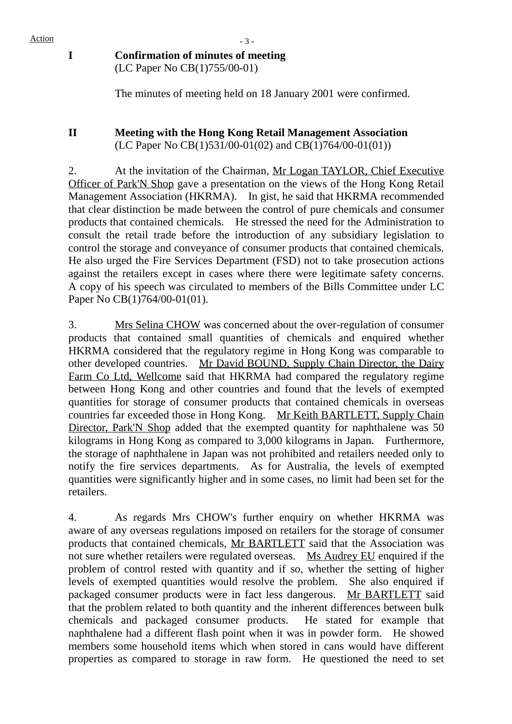# $Action$   $-3 -$ **I Confirmation of minutes of meeting** (LC Paper No CB(1)755/00-01)

The minutes of meeting held on 18 January 2001 were confirmed.

### **II Meeting with the Hong Kong Retail Management Association** (LC Paper No CB(1)531/00-01(02) and CB(1)764/00-01(01))

2. At the invitation of the Chairman, Mr Logan TAYLOR, Chief Executive Officer of Park'N Shop gave a presentation on the views of the Hong Kong Retail Management Association (HKRMA). In gist, he said that HKRMA recommended that clear distinction be made between the control of pure chemicals and consumer products that contained chemicals. He stressed the need for the Administration to consult the retail trade before the introduction of any subsidiary legislation to control the storage and conveyance of consumer products that contained chemicals. He also urged the Fire Services Department (FSD) not to take prosecution actions against the retailers except in cases where there were legitimate safety concerns. A copy of his speech was circulated to members of the Bills Committee under LC Paper No CB(1)764/00-01(01).

3. Mrs Selina CHOW was concerned about the over-regulation of consumer products that contained small quantities of chemicals and enquired whether HKRMA considered that the regulatory regime in Hong Kong was comparable to other developed countries. Mr David BOUND, Supply Chain Director, the Dairy Farm Co Ltd, Wellcome said that HKRMA had compared the regulatory regime between Hong Kong and other countries and found that the levels of exempted quantities for storage of consumer products that contained chemicals in overseas countries far exceeded those in Hong Kong. Mr Keith BARTLETT, Supply Chain Director, Park'N Shop added that the exempted quantity for naphthalene was 50 kilograms in Hong Kong as compared to 3,000 kilograms in Japan. Furthermore, the storage of naphthalene in Japan was not prohibited and retailers needed only to notify the fire services departments. As for Australia, the levels of exempted quantities were significantly higher and in some cases, no limit had been set for the retailers.

4. As regards Mrs CHOW's further enquiry on whether HKRMA was aware of any overseas regulations imposed on retailers for the storage of consumer products that contained chemicals, Mr BARTLETT said that the Association was not sure whether retailers were regulated overseas. Ms Audrey EU enquired if the problem of control rested with quantity and if so, whether the setting of higher levels of exempted quantities would resolve the problem. She also enquired if packaged consumer products were in fact less dangerous. Mr BARTLETT said that the problem related to both quantity and the inherent differences between bulk chemicals and packaged consumer products. He stated for example that naphthalene had a different flash point when it was in powder form. He showed members some household items which when stored in cans would have different properties as compared to storage in raw form. He questioned the need to set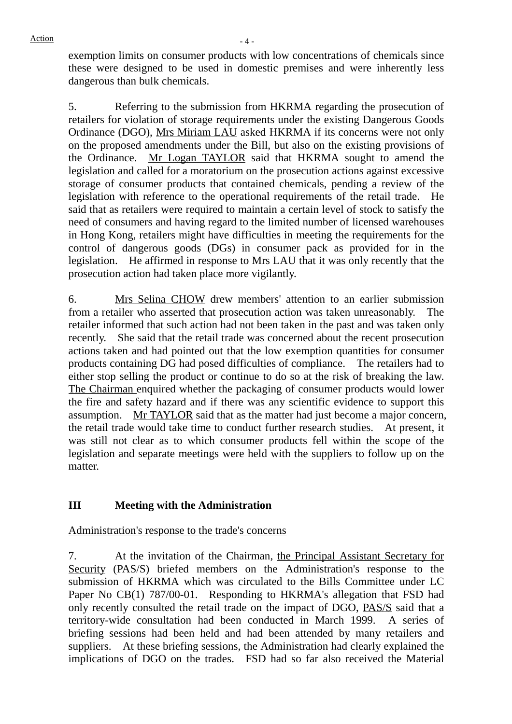exemption limits on consumer products with low concentrations of chemicals since these were designed to be used in domestic premises and were inherently less dangerous than bulk chemicals.

5. Referring to the submission from HKRMA regarding the prosecution of retailers for violation of storage requirements under the existing Dangerous Goods Ordinance (DGO), Mrs Miriam LAU asked HKRMA if its concerns were not only on the proposed amendments under the Bill, but also on the existing provisions of the Ordinance. Mr Logan TAYLOR said that HKRMA sought to amend the legislation and called for a moratorium on the prosecution actions against excessive storage of consumer products that contained chemicals, pending a review of the legislation with reference to the operational requirements of the retail trade. He said that as retailers were required to maintain a certain level of stock to satisfy the need of consumers and having regard to the limited number of licensed warehouses in Hong Kong, retailers might have difficulties in meeting the requirements for the control of dangerous goods (DGs) in consumer pack as provided for in the legislation. He affirmed in response to Mrs LAU that it was only recently that the prosecution action had taken place more vigilantly.

6. Mrs Selina CHOW drew members' attention to an earlier submission from a retailer who asserted that prosecution action was taken unreasonably. The retailer informed that such action had not been taken in the past and was taken only recently. She said that the retail trade was concerned about the recent prosecution actions taken and had pointed out that the low exemption quantities for consumer products containing DG had posed difficulties of compliance. The retailers had to either stop selling the product or continue to do so at the risk of breaking the law. The Chairman enquired whether the packaging of consumer products would lower the fire and safety hazard and if there was any scientific evidence to support this assumption. Mr TAYLOR said that as the matter had just become a major concern, the retail trade would take time to conduct further research studies. At present, it was still not clear as to which consumer products fell within the scope of the legislation and separate meetings were held with the suppliers to follow up on the matter.

# **III Meeting with the Administration**

# Administration's response to the trade's concerns

7. At the invitation of the Chairman, the Principal Assistant Secretary for Security (PAS/S) briefed members on the Administration's response to the submission of HKRMA which was circulated to the Bills Committee under LC Paper No CB(1) 787/00-01. Responding to HKRMA's allegation that FSD had only recently consulted the retail trade on the impact of DGO, PAS/S said that a territory-wide consultation had been conducted in March 1999. A series of briefing sessions had been held and had been attended by many retailers and suppliers. At these briefing sessions, the Administration had clearly explained the implications of DGO on the trades. FSD had so far also received the Material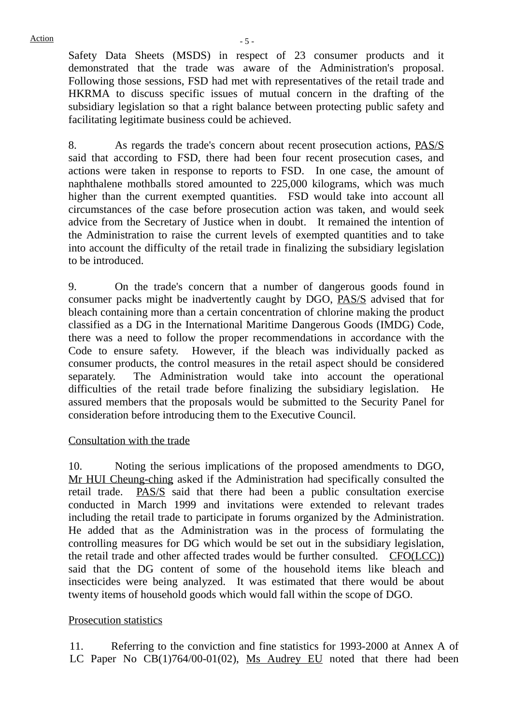Safety Data Sheets (MSDS) in respect of 23 consumer products and it demonstrated that the trade was aware of the Administration's proposal. Following those sessions, FSD had met with representatives of the retail trade and HKRMA to discuss specific issues of mutual concern in the drafting of the subsidiary legislation so that a right balance between protecting public safety and facilitating legitimate business could be achieved.

8. As regards the trade's concern about recent prosecution actions, PAS/S said that according to FSD, there had been four recent prosecution cases, and actions were taken in response to reports to FSD. In one case, the amount of naphthalene mothballs stored amounted to 225,000 kilograms, which was much higher than the current exempted quantities. FSD would take into account all circumstances of the case before prosecution action was taken, and would seek advice from the Secretary of Justice when in doubt. It remained the intention of the Administration to raise the current levels of exempted quantities and to take into account the difficulty of the retail trade in finalizing the subsidiary legislation to be introduced.

9. On the trade's concern that a number of dangerous goods found in consumer packs might be inadvertently caught by DGO, PAS/S advised that for bleach containing more than a certain concentration of chlorine making the product classified as a DG in the International Maritime Dangerous Goods (IMDG) Code, there was a need to follow the proper recommendations in accordance with the Code to ensure safety. However, if the bleach was individually packed as consumer products, the control measures in the retail aspect should be considered separately. The Administration would take into account the operational difficulties of the retail trade before finalizing the subsidiary legislation. He assured members that the proposals would be submitted to the Security Panel for consideration before introducing them to the Executive Council.

#### Consultation with the trade

10. Noting the serious implications of the proposed amendments to DGO, Mr HUI Cheung-ching asked if the Administration had specifically consulted the retail trade. **PAS/S** said that there had been a public consultation exercise conducted in March 1999 and invitations were extended to relevant trades including the retail trade to participate in forums organized by the Administration. He added that as the Administration was in the process of formulating the controlling measures for DG which would be set out in the subsidiary legislation, the retail trade and other affected trades would be further consulted. CFO(LCC)) said that the DG content of some of the household items like bleach and insecticides were being analyzed. It was estimated that there would be about twenty items of household goods which would fall within the scope of DGO.

#### Prosecution statistics

11. Referring to the conviction and fine statistics for 1993-2000 at Annex A of LC Paper No CB(1)764/00-01(02), Ms Audrey EU noted that there had been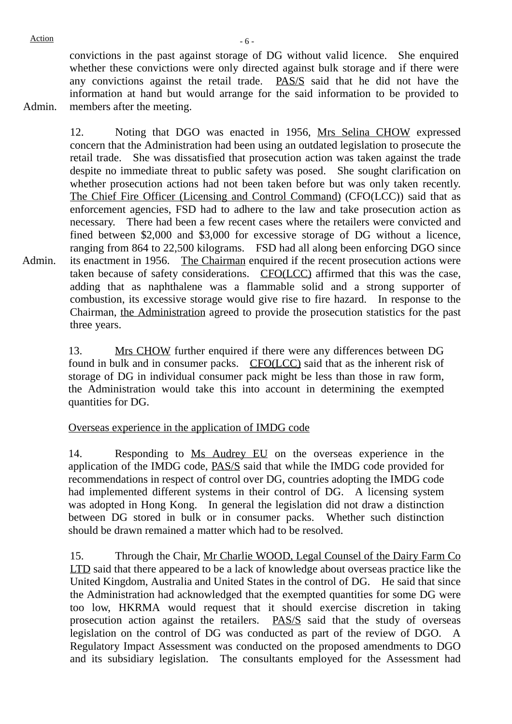convictions in the past against storage of DG without valid licence. She enquired whether these convictions were only directed against bulk storage and if there were any convictions against the retail trade. PAS/S said that he did not have the information at hand but would arrange for the said information to be provided to members after the meeting.

Admin.

Admin. 12. Noting that DGO was enacted in 1956, Mrs Selina CHOW expressed concern that the Administration had been using an outdated legislation to prosecute the retail trade. She was dissatisfied that prosecution action was taken against the trade despite no immediate threat to public safety was posed. She sought clarification on whether prosecution actions had not been taken before but was only taken recently. The Chief Fire Officer (Licensing and Control Command) (CFO(LCC)) said that as enforcement agencies, FSD had to adhere to the law and take prosecution action as necessary. There had been a few recent cases where the retailers were convicted and fined between \$2,000 and \$3,000 for excessive storage of DG without a licence, ranging from 864 to 22,500 kilograms. FSD had all along been enforcing DGO since its enactment in 1956. The Chairman enquired if the recent prosecution actions were taken because of safety considerations. CFO(LCC) affirmed that this was the case, adding that as naphthalene was a flammable solid and a strong supporter of combustion, its excessive storage would give rise to fire hazard. In response to the Chairman, the Administration agreed to provide the prosecution statistics for the past three years.

> 13. Mrs CHOW further enquired if there were any differences between DG found in bulk and in consumer packs. CFO(LCC) said that as the inherent risk of storage of DG in individual consumer pack might be less than those in raw form, the Administration would take this into account in determining the exempted quantities for DG.

# Overseas experience in the application of IMDG code

14. Responding to Ms Audrey EU on the overseas experience in the application of the IMDG code, PAS/S said that while the IMDG code provided for recommendations in respect of control over DG, countries adopting the IMDG code had implemented different systems in their control of DG. A licensing system was adopted in Hong Kong. In general the legislation did not draw a distinction between DG stored in bulk or in consumer packs. Whether such distinction should be drawn remained a matter which had to be resolved.

15. Through the Chair, Mr Charlie WOOD, Legal Counsel of the Dairy Farm Co LTD said that there appeared to be a lack of knowledge about overseas practice like the United Kingdom, Australia and United States in the control of DG. He said that since the Administration had acknowledged that the exempted quantities for some DG were too low, HKRMA would request that it should exercise discretion in taking prosecution action against the retailers. PAS/S said that the study of overseas legislation on the control of DG was conducted as part of the review of DGO. A Regulatory Impact Assessment was conducted on the proposed amendments to DGO and its subsidiary legislation. The consultants employed for the Assessment had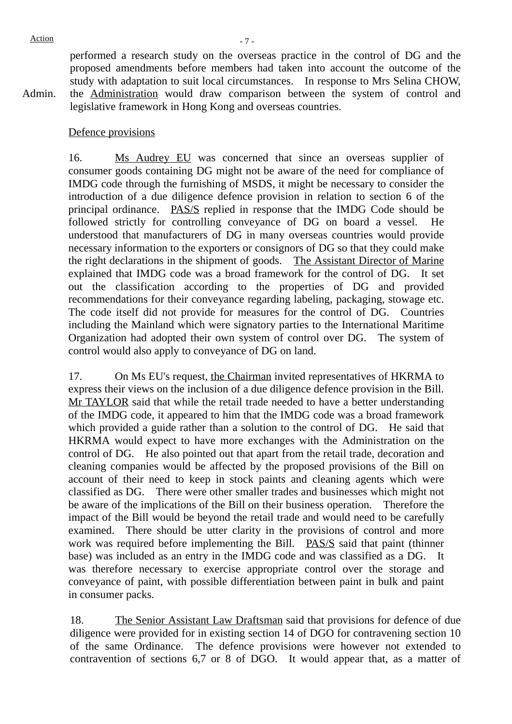Admin.

performed a research study on the overseas practice in the control of DG and the proposed amendments before members had taken into account the outcome of the study with adaptation to suit local circumstances. In response to Mrs Selina CHOW, the Administration would draw comparison between the system of control and legislative framework in Hong Kong and overseas countries.

#### Defence provisions

16. Ms Audrey EU was concerned that since an overseas supplier of consumer goods containing DG might not be aware of the need for compliance of IMDG code through the furnishing of MSDS, it might be necessary to consider the introduction of a due diligence defence provision in relation to section 6 of the principal ordinance. PAS/S replied in response that the IMDG Code should be followed strictly for controlling conveyance of DG on board a vessel. He understood that manufacturers of DG in many overseas countries would provide necessary information to the exporters or consignors of DG so that they could make the right declarations in the shipment of goods. The Assistant Director of Marine explained that IMDG code was a broad framework for the control of DG. It set out the classification according to the properties of DG and provided recommendations for their conveyance regarding labeling, packaging, stowage etc. The code itself did not provide for measures for the control of DG. Countries including the Mainland which were signatory parties to the International Maritime Organization had adopted their own system of control over DG. The system of control would also apply to conveyance of DG on land.

17. On Ms EU's request, the Chairman invited representatives of HKRMA to express their views on the inclusion of a due diligence defence provision in the Bill. Mr TAYLOR said that while the retail trade needed to have a better understanding of the IMDG code, it appeared to him that the IMDG code was a broad framework which provided a guide rather than a solution to the control of DG. He said that HKRMA would expect to have more exchanges with the Administration on the control of DG. He also pointed out that apart from the retail trade, decoration and cleaning companies would be affected by the proposed provisions of the Bill on account of their need to keep in stock paints and cleaning agents which were classified as DG. There were other smaller trades and businesses which might not be aware of the implications of the Bill on their business operation. Therefore the impact of the Bill would be beyond the retail trade and would need to be carefully examined. There should be utter clarity in the provisions of control and more work was required before implementing the Bill. PAS/S said that paint (thinner base) was included as an entry in the IMDG code and was classified as a DG. It was therefore necessary to exercise appropriate control over the storage and conveyance of paint, with possible differentiation between paint in bulk and paint in consumer packs.

18. The Senior Assistant Law Draftsman said that provisions for defence of due diligence were provided for in existing section 14 of DGO for contravening section 10 of the same Ordinance. The defence provisions were however not extended to contravention of sections 6,7 or 8 of DGO. It would appear that, as a matter of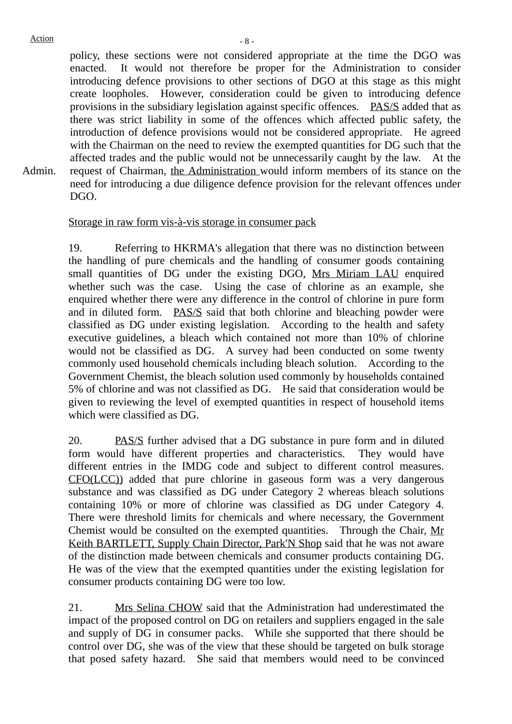Admin.

policy, these sections were not considered appropriate at the time the DGO was enacted. It would not therefore be proper for the Administration to consider introducing defence provisions to other sections of DGO at this stage as this might create loopholes. However, consideration could be given to introducing defence provisions in the subsidiary legislation against specific offences. PAS/S added that as there was strict liability in some of the offences which affected public safety, the introduction of defence provisions would not be considered appropriate. He agreed with the Chairman on the need to review the exempted quantities for DG such that the affected trades and the public would not be unnecessarily caught by the law. At the request of Chairman, the Administration would inform members of its stance on the need for introducing a due diligence defence provision for the relevant offences under DGO.

#### Storage in raw form vis-à-vis storage in consumer pack

19. Referring to HKRMA's allegation that there was no distinction between the handling of pure chemicals and the handling of consumer goods containing small quantities of DG under the existing DGO, Mrs Miriam LAU enquired whether such was the case. Using the case of chlorine as an example, she enquired whether there were any difference in the control of chlorine in pure form and in diluted form. **PAS/S** said that both chlorine and bleaching powder were classified as DG under existing legislation. According to the health and safety executive guidelines, a bleach which contained not more than 10% of chlorine would not be classified as DG. A survey had been conducted on some twenty commonly used household chemicals including bleach solution. According to the Government Chemist, the bleach solution used commonly by households contained 5% of chlorine and was not classified as DG. He said that consideration would be given to reviewing the level of exempted quantities in respect of household items which were classified as DG.

20. PAS/S further advised that a DG substance in pure form and in diluted form would have different properties and characteristics. They would have different entries in the IMDG code and subject to different control measures. CFO(LCC)) added that pure chlorine in gaseous form was a very dangerous substance and was classified as DG under Category 2 whereas bleach solutions containing 10% or more of chlorine was classified as DG under Category 4. There were threshold limits for chemicals and where necessary, the Government Chemist would be consulted on the exempted quantities. Through the Chair, Mr Keith BARTLETT, Supply Chain Director, Park'N Shop said that he was not aware of the distinction made between chemicals and consumer products containing DG. He was of the view that the exempted quantities under the existing legislation for consumer products containing DG were too low.

21. Mrs Selina CHOW said that the Administration had underestimated the impact of the proposed control on DG on retailers and suppliers engaged in the sale and supply of DG in consumer packs. While she supported that there should be control over DG, she was of the view that these should be targeted on bulk storage that posed safety hazard. She said that members would need to be convinced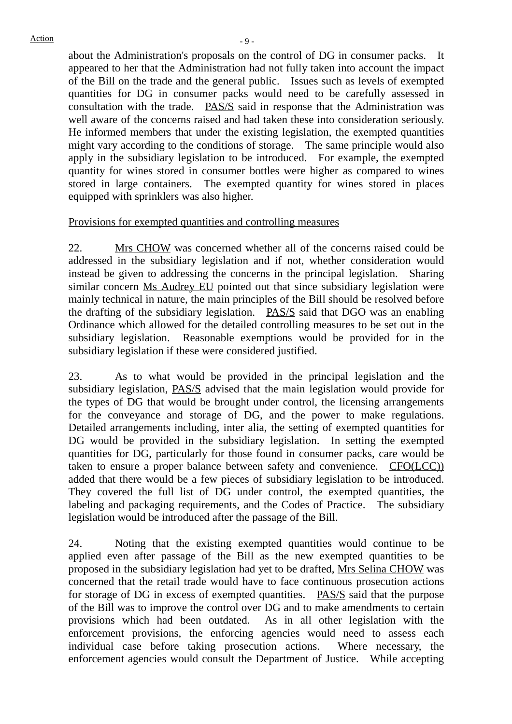about the Administration's proposals on the control of DG in consumer packs. It appeared to her that the Administration had not fully taken into account the impact of the Bill on the trade and the general public. Issues such as levels of exempted quantities for DG in consumer packs would need to be carefully assessed in consultation with the trade. **PAS/S** said in response that the Administration was well aware of the concerns raised and had taken these into consideration seriously. He informed members that under the existing legislation, the exempted quantities might vary according to the conditions of storage. The same principle would also apply in the subsidiary legislation to be introduced. For example, the exempted quantity for wines stored in consumer bottles were higher as compared to wines stored in large containers. The exempted quantity for wines stored in places equipped with sprinklers was also higher.

#### Provisions for exempted quantities and controlling measures

22. Mrs CHOW was concerned whether all of the concerns raised could be addressed in the subsidiary legislation and if not, whether consideration would instead be given to addressing the concerns in the principal legislation. Sharing similar concern Ms Audrey EU pointed out that since subsidiary legislation were mainly technical in nature, the main principles of the Bill should be resolved before the drafting of the subsidiary legislation.  $PAS/S$  said that DGO was an enabling Ordinance which allowed for the detailed controlling measures to be set out in the subsidiary legislation. Reasonable exemptions would be provided for in the subsidiary legislation if these were considered justified.

23. As to what would be provided in the principal legislation and the subsidiary legislation, PAS/S advised that the main legislation would provide for the types of DG that would be brought under control, the licensing arrangements for the conveyance and storage of DG, and the power to make regulations. Detailed arrangements including, inter alia, the setting of exempted quantities for DG would be provided in the subsidiary legislation. In setting the exempted quantities for DG, particularly for those found in consumer packs, care would be taken to ensure a proper balance between safety and convenience. CFO(LCC)) added that there would be a few pieces of subsidiary legislation to be introduced. They covered the full list of DG under control, the exempted quantities, the labeling and packaging requirements, and the Codes of Practice. The subsidiary legislation would be introduced after the passage of the Bill.

24. Noting that the existing exempted quantities would continue to be applied even after passage of the Bill as the new exempted quantities to be proposed in the subsidiary legislation had yet to be drafted, Mrs Selina CHOW was concerned that the retail trade would have to face continuous prosecution actions for storage of DG in excess of exempted quantities. PAS/S said that the purpose of the Bill was to improve the control over DG and to make amendments to certain provisions which had been outdated. As in all other legislation with the enforcement provisions, the enforcing agencies would need to assess each individual case before taking prosecution actions. Where necessary, the enforcement agencies would consult the Department of Justice. While accepting